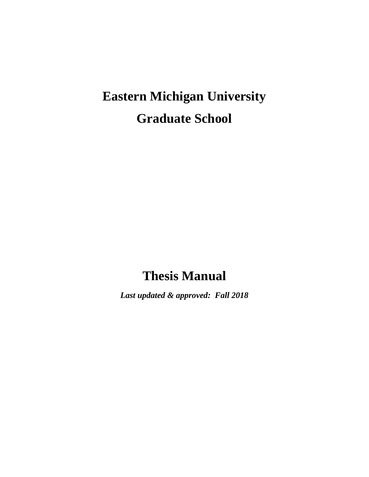# **Eastern Michigan University Graduate School**

# **Thesis Manual**

*Last updated & approved: Fall 2018*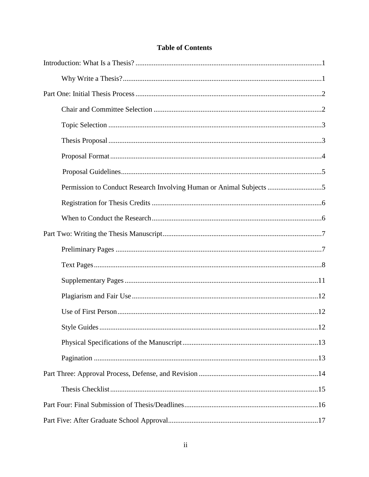<span id="page-1-0"></span>

| Permission to Conduct Research Involving Human or Animal Subjects |  |
|-------------------------------------------------------------------|--|
|                                                                   |  |
|                                                                   |  |
|                                                                   |  |
|                                                                   |  |
|                                                                   |  |
|                                                                   |  |
|                                                                   |  |
|                                                                   |  |
| 12                                                                |  |
|                                                                   |  |
|                                                                   |  |
|                                                                   |  |
|                                                                   |  |
|                                                                   |  |
|                                                                   |  |

#### **Table of Contents**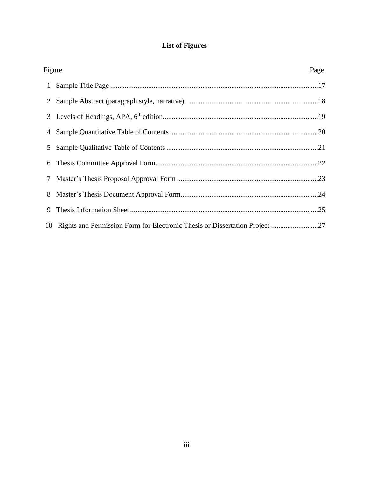## **List of Figures**

<span id="page-2-0"></span>

| Figure |                                                                                | Page |
|--------|--------------------------------------------------------------------------------|------|
|        |                                                                                |      |
|        |                                                                                |      |
|        |                                                                                |      |
|        |                                                                                |      |
|        |                                                                                |      |
|        |                                                                                |      |
| 7      |                                                                                |      |
|        |                                                                                |      |
| 9      |                                                                                |      |
|        | 10 Rights and Permission Form for Electronic Thesis or Dissertation Project 27 |      |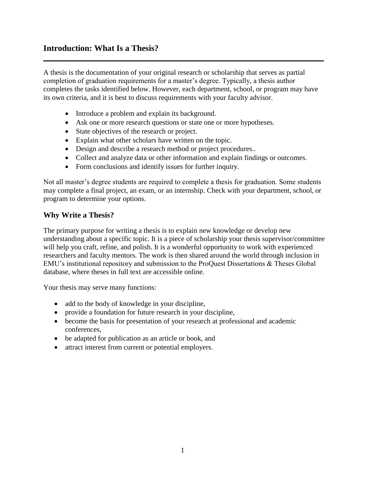#### <span id="page-3-0"></span>**Introduction: What Is a Thesis?**

A thesis is the documentation of your original research or scholarship that serves as partial completion of graduation requirements for a master's degree. Typically, a thesis author completes the tasks identified below. However, each department, school, or program may have its own criteria, and it is best to discuss requirements with your faculty advisor.

- Introduce a problem and explain its background.
- Ask one or more research questions or state one or more hypotheses.
- State objectives of the research or project.
- Explain what other scholars have written on the topic.
- Design and describe a research method or project procedures..
- Collect and analyze data or other information and explain findings or outcomes.
- Form conclusions and identify issues for further inquiry.

Not all master's degree students are required to complete a thesis for graduation. Some students may complete a final project, an exam, or an internship. Check with your department, school, or program to determine your options.

#### **Why Write a Thesis?**

The primary purpose for writing a thesis is to explain new knowledge or develop new understanding about a specific topic. It is a piece of scholarship your thesis supervisor/committee will help you craft, refine, and polish. It is a wonderful opportunity to work with experienced researchers and faculty mentors. The work is then shared around the world through inclusion in EMU's institutional repository and submission to the ProQuest Dissertations & Theses Global database, where theses in full text are accessible online.

Your thesis may serve many functions:

- add to the body of knowledge in your discipline,
- provide a foundation for future research in your discipline,
- become the basis for presentation of your research at professional and academic conferences,
- be adapted for publication as an article or book, and
- attract interest from current or potential employers.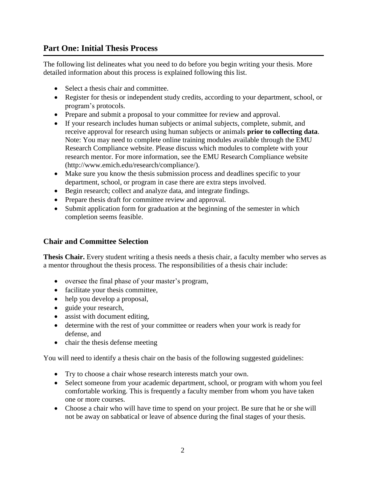### <span id="page-4-0"></span>**Part One: Initial Thesis Process**

The following list delineates what you need to do before you begin writing your thesis. More detailed information about this process is explained following this list.

- Select a thesis chair and committee.
- Register for thesis or independent study credits, according to your department, school, or program's protocols.
- Prepare and submit a proposal to your committee for review and approval.
- If your research includes human subjects or animal subjects, complete, submit, and receive approval for research using human subjects or animals **prior to collecting data**. Note: You may need to complete online training modules available through the EMU Research Compliance website. Please discuss which modules to complete with your research mentor. For more information, see the EMU Research Compliance website [\(http://www.emich.edu/research/compliance/](http://www.emich.edu/research/compliance)).
- Make sure you know the thesis submission process and deadlines specific to your department, school, or program in case there are extra steps involved.
- Begin research; collect and analyze data, and integrate findings.
- Prepare thesis draft for committee review and approval.
- Submit application form for graduation at the beginning of the semester in which completion seems feasible.

#### **Chair and Committee Selection**

**Thesis Chair.** Every student writing a thesis needs a thesis chair, a faculty member who serves as a mentor throughout the thesis process. The responsibilities of a thesis chair include:

- oversee the final phase of your master's program,
- facilitate your thesis committee,
- help you develop a proposal,
- guide your research,
- assist with document editing,
- determine with the rest of your committee or readers when your work is ready for defense, and
- chair the thesis defense meeting

You will need to identify a thesis chair on the basis of the following suggested guidelines:

- Try to choose a chair whose research interests match your own.
- Select someone from your academic department, school, or program with whom you feel comfortable working. This is frequently a faculty member from whom you have taken one or more courses.
- Choose a chair who will have time to spend on your project. Be sure that he or she will not be away on sabbatical or leave of absence during the final stages of your thesis.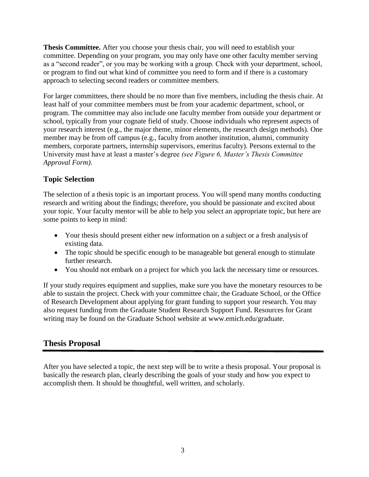<span id="page-5-0"></span>**Thesis Committee.** After you choose your thesis chair, you will need to establish your committee. Depending on your program, you may only have one other faculty member serving as a "second reader", or you may be working with a group. Check with your department, school, or program to find out what kind of committee you need to form and if there is a customary approach to selecting second readers or committee members.

For larger committees, there should be no more than five members, including the thesis chair. At least half of your committee members must be from your academic department, school, or program. The committee may also include one faculty member from outside your department or school, typically from your cognate field of study. Choose individuals who represent aspects of your research interest (e.g., the major theme, minor elements, the research design methods). One member may be from off campus (e.g., faculty from another institution, alumni, community members, corporate partners, internship supervisors, emeritus faculty). Persons external to the University must have at least a master's degree *(see Figure 6, Master's Thesis Committee Approval Form)*.

### **Topic Selection**

The selection of a thesis topic is an important process. You will spend many months conducting research and writing about the findings; therefore, you should be passionate and excited about your topic. Your faculty mentor will be able to help you select an appropriate topic, but here are some points to keep in mind:

- Your thesis should present either new information on a subject or a fresh analysis of existing data.
- The topic should be specific enough to be manageable but general enough to stimulate further research.
- You should not embark on a project for which you lack the necessary time or resources.

If your study requires equipment and supplies, make sure you have the monetary resources to be able to sustain the project. Check with your committee chair, the Graduate School, or the Office of Research Development about applying for grant funding to support your research. You may also request funding from the Graduate Student Research Support Fund. Resources for Grant writing may be found on the Graduate School website at [www.emich.edu/graduate.](http://www.emich.edu/graduate)

### **Thesis Proposal**

After you have selected a topic, the next step will be to write a thesis proposal. Your proposal is basically the research plan, clearly describing the goals of your study and how you expect to accomplish them. It should be thoughtful, well written, and scholarly.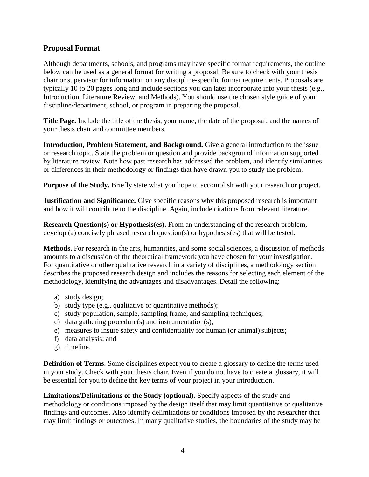#### <span id="page-6-0"></span>**Proposal Format**

Although departments, schools, and programs may have specific format requirements, the outline below can be used as a general format for writing a proposal. Be sure to check with your thesis chair or supervisor for information on any discipline-specific format requirements. Proposals are typically 10 to 20 pages long and include sections you can later incorporate into your thesis (e.g., Introduction, Literature Review, and Methods). You should use the chosen style guide of your discipline/department, school, or program in preparing the proposal.

**Title Page.** Include the title of the thesis, your name, the date of the proposal, and the names of your thesis chair and committee members.

**Introduction, Problem Statement, and Background.** Give a general introduction to the issue or research topic. State the problem or question and provide background information supported by literature review. Note how past research has addressed the problem, and identify similarities or differences in their methodology or findings that have drawn you to study the problem.

**Purpose of the Study.** Briefly state what you hope to accomplish with your research or project.

**Justification and Significance.** Give specific reasons why this proposed research is important and how it will contribute to the discipline. Again, include citations from relevant literature.

**Research Question(s) or Hypothesis(es).** From an understanding of the research problem, develop (a) concisely phrased research question(s) or hypothesis(es) that will be tested.

**Methods.** For research in the arts, humanities, and some social sciences, a discussion of methods amounts to a discussion of the theoretical framework you have chosen for your investigation. For quantitative or other qualitative research in a variety of disciplines, a methodology section describes the proposed research design and includes the reasons for selecting each element of the methodology, identifying the advantages and disadvantages. Detail the following:

- a) study design;
- b) study type (e.g., qualitative or quantitative methods);
- c) study population, sample, sampling frame, and sampling techniques;
- d) data gathering procedure(s) and instrumentation(s);
- e) measures to insure safety and confidentiality for human (or animal) subjects;
- f) data analysis; and
- g) timeline.

**Definition of Terms**. Some disciplines expect you to create a glossary to define the terms used in your study. Check with your thesis chair. Even if you do not have to create a glossary, it will be essential for you to define the key terms of your project in your introduction.

**Limitations/Delimitations of the Study (optional).** Specify aspects of the study and methodology or conditions imposed by the design itself that may limit quantitative or qualitative findings and outcomes. Also identify delimitations or conditions imposed by the researcher that may limit findings or outcomes. In many qualitative studies, the boundaries of the study may be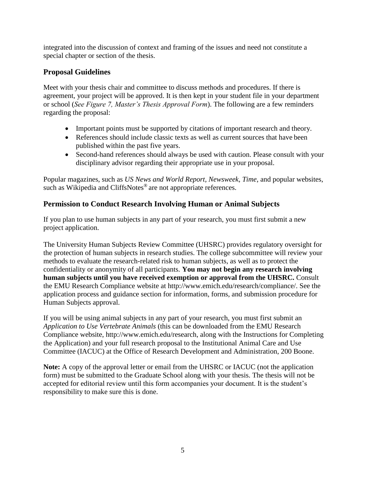<span id="page-7-0"></span>integrated into the discussion of context and framing of the issues and need not constitute a special chapter or section of the thesis.

## **Proposal Guidelines**

Meet with your thesis chair and committee to discuss methods and procedures. If there is agreement, your project will be approved. It is then kept in your student file in your department or school (*See Figure 7, Master's Thesis Approval Form*). The following are a few reminders regarding the proposal:

- Important points must be supported by citations of important research and theory.
- References should include classic texts as well as current sources that have been published within the past five years.
- Second-hand references should always be used with caution. Please consult with your disciplinary advisor regarding their appropriate use in your proposal.

Popular magazines, such as *US News and World Report, Newsweek, Time*, and popular websites, such as Wikipedia and CliffsNotes<sup>®</sup> are not appropriate references.

## **Permission to Conduct Research Involving Human or Animal Subjects**

If you plan to use human subjects in any part of your research, you must first submit a new project application.

The University Human Subjects Review Committee (UHSRC) provides regulatory oversight for the protection of human subjects in research studies. The college subcommittee will review your methods to evaluate the research-related risk to human subjects, as well as to protect the confidentiality or anonymity of all participants. **You may not begin any research involving human subjects until you have received exemption or approval from the UHSRC.** Consult the EMU Research Compliance website [at http://www.emich.edu/research/compliance/.](http://www.emich.edu/research/compliance) See the application process and guidance section for information, forms, and submission procedure for Human Subjects approval.

If you will be using animal subjects in any part of your research, you must first submit an *Application to Use Vertebrate Animals* (this can be downloaded from the EMU Research Compliance websit[e, http://www.emich.edu/research,](http://www.emich.edu/research) along with the Instructions for Completing the Application) and your full research proposal to the Institutional Animal Care and Use Committee (IACUC) at the Office of Research Development and Administration, 200 Boone.

**Note:** A copy of the approval letter or email from the UHSRC or IACUC (not the application form) must be submitted to the Graduate School along with your thesis. The thesis will not be accepted for editorial review until this form accompanies your document. It is the student's responsibility to make sure this is done.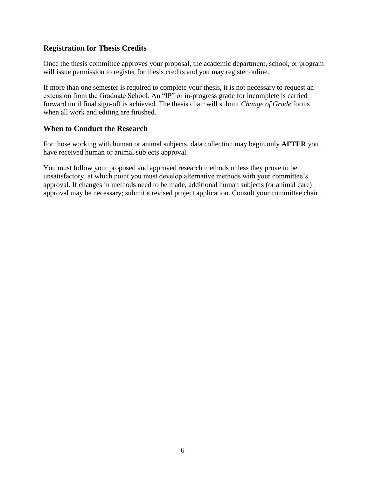#### <span id="page-8-0"></span>**Registration for Thesis Credits**

Once the thesis committee approves your proposal, the academic department, school, or program will issue permission to register for thesis credits and you may register online.

If more than one semester is required to complete your thesis, it is not necessary to request an extension from the Graduate School. An "IP" or in-progress grade for incomplete is carried forward until final sign-off is achieved. The thesis chair will submit *Change of Grade* forms when all work and editing are finished.

#### **When to Conduct the Research**

For those working with human or animal subjects, data collection may begin only **AFTER** you have received human or animal subjects approval.

You must follow your proposed and approved research methods unless they prove to be unsatisfactory, at which point you must develop alternative methods with your committee's approval. If changes in methods need to be made, additional human subjects (or animal care) approval may be necessary; submit a revised project application. Consult your committee chair.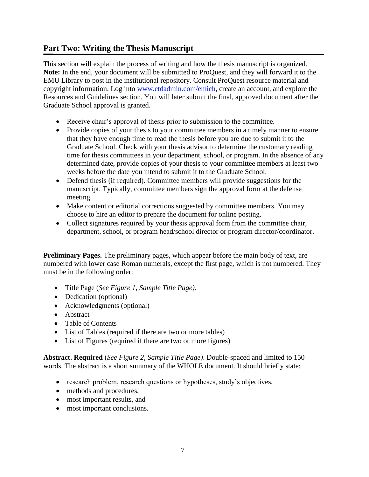### <span id="page-9-0"></span>**Part Two: Writing the Thesis Manuscript**

This section will explain the process of writing and how the thesis manuscript is organized. **Note:** In the end, your document will be submitted to ProQuest, and they will forward it to the EMU Library to post in the institutional repository. Consult ProQuest resource material and copyright information. Log into [www.etdadmin.com/emich,](http://www.etdadmin.com/emich) create an account, and explore the Resources and Guidelines section. You will later submit the final, approved document after the Graduate School approval is granted.

- Receive chair's approval of thesis prior to submission to the committee.
- Provide copies of your thesis to your committee members in a timely manner to ensure that they have enough time to read the thesis before you are due to submit it to the Graduate School. Check with your thesis advisor to determine the customary reading time for thesis committees in your department, school, or program. In the absence of any determined date, provide copies of your thesis to your committee members at least two weeks before the date you intend to submit it to the Graduate School.
- Defend thesis (if required). Committee members will provide suggestions for the manuscript. Typically, committee members sign the approval form at the defense meeting.
- Make content or editorial corrections suggested by committee members. You may choose to hire an editor to prepare the document for online posting.
- Collect signatures required by your thesis approval form from the committee chair, department, school, or program head/school director or program director/coordinator.

**Preliminary Pages.** The preliminary pages, which appear before the main body of text, are numbered with lower case Roman numerals, except the first page, which is not numbered. They must be in the following order:

- Title Page (*See Figure 1, Sample Title Page)*.
- Dedication (optional)
- Acknowledgments (optional)
- Abstract
- Table of Contents
- List of Tables (required if there are two or more tables)
- List of Figures (required if there are two or more figures)

**Abstract. Required** (*See Figure 2, Sample Title Page)*. Double-spaced and limited to 150 words. The abstract is a short summary of the WHOLE document. It should briefly state:

- research problem, research questions or hypotheses, study's objectives,
- methods and procedures,
- most important results, and
- most important conclusions.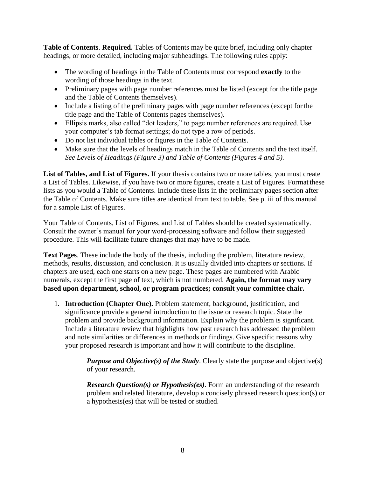<span id="page-10-0"></span>**Table of Contents**. **Required.** Tables of Contents may be quite brief, including only chapter headings, or more detailed, including major subheadings. The following rules apply:

- The wording of headings in the Table of Contents must correspond **exactly** to the wording of those headings in the text.
- Preliminary pages with page number references must be listed (except for the title page and the Table of Contents themselves).
- Include a listing of the preliminary pages with page number references (except for the title page and the Table of Contents pages themselves).
- Ellipsis marks, also called "dot leaders," to page number references are required. Use your computer's tab format settings; do not type a row of periods.
- Do not list individual tables or figures in the Table of Contents.
- Make sure that the levels of headings match in the Table of Contents and the text itself. *See Levels of Headings (Figure 3) and Table of Contents (Figures 4 and 5).*

**List of Tables, and List of Figures.** If your thesis contains two or more tables, you must create a List of Tables. Likewise, if you have two or more figures, create a List of Figures. Format these lists as you would a Table of Contents. Include these lists in the preliminary pages section after the Table of Contents. Make sure titles are identical from text to table. See p. iii of this manual for a sample List of Figures.

Your Table of Contents, List of Figures, and List of Tables should be created systematically. Consult the owner's manual for your word-processing software and follow their suggested procedure. This will facilitate future changes that may have to be made.

**Text Pages**. These include the body of the thesis, including the problem, literature review, methods, results, discussion, and conclusion. It is usually divided into chapters or sections. If chapters are used, each one starts on a new page. These pages are numbered with Arabic numerals, except the first page of text, which is not numbered. **Again, the format may vary based upon department, school, or program practices; consult your committee chair.**

1. **Introduction (Chapter One).** Problem statement, background, justification, and significance provide a general introduction to the issue or research topic. State the problem and provide background information. Explain why the problem is significant. Include a literature review that highlights how past research has addressed the problem and note similarities or differences in methods or findings. Give specific reasons why your proposed research is important and how it will contribute to the discipline.

> *Purpose and Objective(s) of the Study.* Clearly state the purpose and objective(s) of your research.

> *Research Question(s) or Hypothesis(es)*. Form an understanding of the research problem and related literature, develop a concisely phrased research question(s) or a hypothesis(es) that will be tested or studied.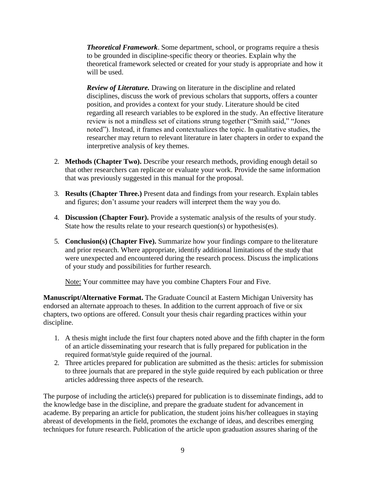<span id="page-11-0"></span>*Theoretical Framework*. Some department, school, or programs require a thesis to be grounded in discipline-specific theory or theories. Explain why the theoretical framework selected or created for your study is appropriate and how it will be used.

*Review of Literature.* Drawing on literature in the discipline and related disciplines, discuss the work of previous scholars that supports, offers a counter position, and provides a context for your study. Literature should be cited regarding all research variables to be explored in the study. An effective literature review is not a mindless set of citations strung together ("Smith said," "Jones noted"). Instead, it frames and contextualizes the topic. In qualitative studies, the researcher may return to relevant literature in later chapters in order to expand the interpretive analysis of key themes.

- 2. **Methods (Chapter Two).** Describe your research methods, providing enough detail so that other researchers can replicate or evaluate your work. Provide the same information that was previously suggested in this manual for the proposal.
- 3. **Results (Chapter Three.)** Present data and findings from your research. Explain tables and figures; don't assume your readers will interpret them the way you do.
- 4. **Discussion (Chapter Four).** Provide a systematic analysis of the results of yourstudy. State how the results relate to your research question(s) or hypothesis(es).
- 5. **Conclusion(s) (Chapter Five).** Summarize how your findings compare to the literature and prior research. Where appropriate, identify additional limitations of the study that were unexpected and encountered during the research process. Discuss the implications of your study and possibilities for further research.

Note: Your committee may have you combine Chapters Four and Five.

**Manuscript/Alternative Format.** The Graduate Council at Eastern Michigan University has endorsed an alternate approach to theses. In addition to the current approach of five or six chapters, two options are offered. Consult your thesis chair regarding practices within your discipline.

- 1. A thesis might include the first four chapters noted above and the fifth chapter in the form of an article disseminating your research that is fully prepared for publication in the required format/style guide required of the journal.
- 2. Three articles prepared for publication are submitted as the thesis: articles for submission to three journals that are prepared in the style guide required by each publication or three articles addressing three aspects of the research.

The purpose of including the article(s) prepared for publication is to disseminate findings, add to the knowledge base in the discipline, and prepare the graduate student for advancement in academe. By preparing an article for publication, the student joins his/her colleagues in staying abreast of developments in the field, promotes the exchange of ideas, and describes emerging techniques for future research. Publication of the article upon graduation assures sharing of the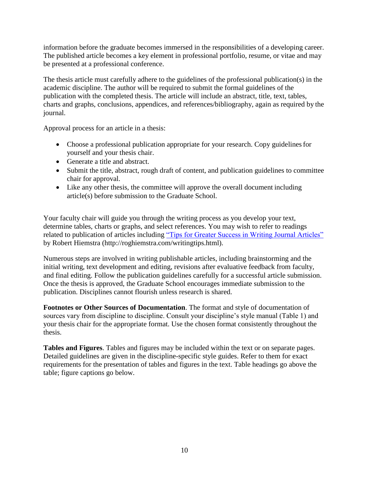<span id="page-12-0"></span>information before the graduate becomes immersed in the responsibilities of a developing career. The published article becomes a key element in professional portfolio, resume, or vitae and may be presented at a professional conference.

The thesis article must carefully adhere to the guidelines of the professional publication(s) in the academic discipline. The author will be required to submit the formal guidelines of the publication with the completed thesis. The article will include an abstract, title, text, tables, charts and graphs, conclusions, appendices, and references/bibliography, again as required by the journal.

Approval process for an article in a thesis:

- Choose a professional publication appropriate for your research. Copy guidelines for yourself and your thesis chair.
- Generate a title and abstract.
- Submit the title, abstract, rough draft of content, and publication guidelines to committee chair for approval.
- Like any other thesis, the committee will approve the overall document including article(s) before submission to the Graduate School.

Your faculty chair will guide you through the writing process as you develop your text, determine tables, charts or graphs, and select references. You may wish to refer to readings related to publication of articles including ["Tips for Greater Success in Writing Journal Articles"](http://roghiemstra.com/writingtips.html) by Robert Hiemstra [\(http://roghiemstra.com/writingtips.html\)](http://roghiemstra.com/writingtips.html).

Numerous steps are involved in writing publishable articles, including brainstorming and the initial writing, text development and editing, revisions after evaluative feedback from faculty, and final editing. Follow the publication guidelines carefully for a successful article submission. Once the thesis is approved, the Graduate School encourages immediate submission to the publication. Disciplines cannot flourish unless research is shared.

**Footnotes or Other Sources of Documentation**. The format and style of documentation of sources vary from discipline to discipline. Consult your discipline's style manual (Table 1) and your thesis chair for the appropriate format. Use the chosen format consistently throughout the thesis.

**Tables and Figures**. Tables and figures may be included within the text or on separate pages. Detailed guidelines are given in the discipline-specific style guides. Refer to them for exact requirements for the presentation of tables and figures in the text. Table headings go above the table; figure captions go below.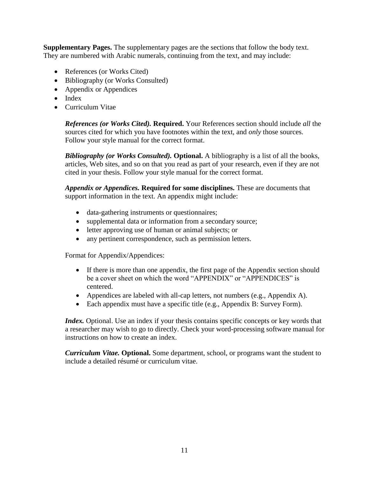<span id="page-13-0"></span>**Supplementary Pages.** The supplementary pages are the sections that follow the body text. They are numbered with Arabic numerals, continuing from the text, and may include:

- References (or Works Cited)
- Bibliography (or Works Consulted)
- Appendix or Appendices
- Index
- Curriculum Vitae

*References (or Works Cited).* **Required.** Your References section should include *all* the sources cited for which you have footnotes within the text, and *only* those sources. Follow your style manual for the correct format.

*Bibliography (or Works Consulted).* **Optional.** A bibliography is a list of all the books, articles, Web sites, and so on that you read as part of your research, even if they are not cited in your thesis. Follow your style manual for the correct format.

*Appendix or Appendices.* **Required for some disciplines.** These are documents that support information in the text. An appendix might include:

- data-gathering instruments or questionnaires;
- supplemental data or information from a secondary source;
- letter approving use of human or animal subjects; or
- any pertinent correspondence, such as permission letters.

Format for Appendix/Appendices:

- If there is more than one appendix, the first page of the Appendix section should be a cover sheet on which the word "APPENDIX" or "APPENDICES" is centered.
- Appendices are labeled with all-cap letters, not numbers (e.g., Appendix A).
- Each appendix must have a specific title (e.g., Appendix B: Survey Form).

*Index.* Optional. Use an index if your thesis contains specific concepts or key words that a researcher may wish to go to directly. Check your word-processing software manual for instructions on how to create an index.

*Curriculum Vitae.* **Optional.** Some department, school, or programs want the student to include a detailed résumé or curriculum vitae.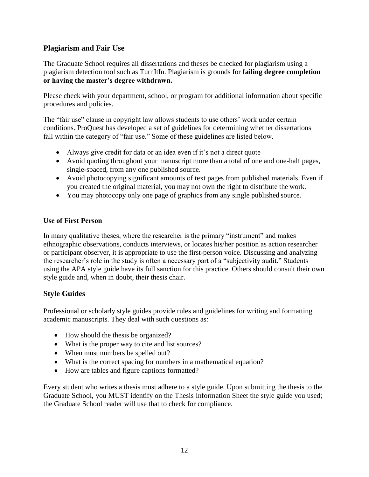#### <span id="page-14-0"></span>**Plagiarism and Fair Use**

The Graduate School requires all dissertations and theses be checked for plagiarism using a plagiarism detection tool such as TurnItIn. Plagiarism is grounds for **failing degree completion or having the master's degree withdrawn.**

Please check with your department, school, or program for additional information about specific procedures and policies.

The "fair use" clause in copyright law allows students to use others' work under certain conditions. ProQuest has developed a set of guidelines for determining whether dissertations fall within the category of "fair use." Some of these guidelines are listed below.

- Always give credit for data or an idea even if it's not a direct quote
- Avoid quoting throughout your manuscript more than a total of one and one-half pages, single-spaced, from any one published source.
- Avoid photocopying significant amounts of text pages from published materials. Even if you created the original material, you may not own the right to distribute the work.
- You may photocopy only one page of graphics from any single published source.

#### **Use of First Person**

In many qualitative theses, where the researcher is the primary "instrument" and makes ethnographic observations, conducts interviews, or locates his/her position as action researcher or participant observer, it is appropriate to use the first-person voice. Discussing and analyzing the researcher's role in the study is often a necessary part of a "subjectivity audit." Students using the APA style guide have its full sanction for this practice. Others should consult their own style guide and, when in doubt, their thesis chair.

#### **Style Guides**

Professional or scholarly style guides provide rules and guidelines for writing and formatting academic manuscripts. They deal with such questions as:

- How should the thesis be organized?
- What is the proper way to cite and list sources?
- When must numbers be spelled out?
- What is the correct spacing for numbers in a mathematical equation?
- How are tables and figure captions formatted?

Every student who writes a thesis must adhere to a style guide. Upon submitting the thesis to the Graduate School, you MUST identify on the Thesis Information Sheet the style guide you used; the Graduate School reader will use that to check for compliance.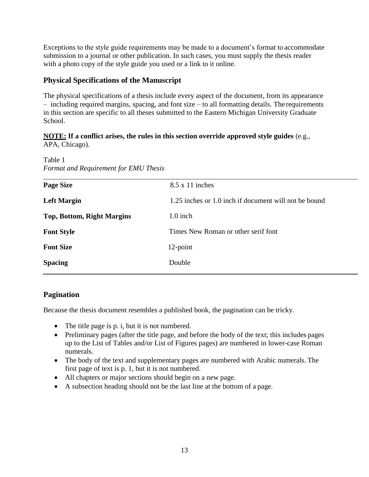Exceptions to the style guide requirements may be made to a document's format to accommodate submission to a journal or other publication. In such cases, you must supply the thesis reader with a photo copy of the style guide you used or a link to it online.

### <span id="page-15-0"></span>**Physical Specifications of the Manuscript**

The physical specifications of a thesis include every aspect of the document, from its appearance – including required margins, spacing, and font size – to all formatting details. The requirements in this section are specific to all theses submitted to the Eastern Michigan University Graduate School.

#### **NOTE: If a conflict arises, the rules in this section override approved style guides** (e.g., APA, Chicago).

Table 1 *Format and Requirement for EMU Thesis*

| <b>Page Size</b>                  | $8.5 \times 11$ inches                                |
|-----------------------------------|-------------------------------------------------------|
| <b>Left Margin</b>                | 1.25 inches or 1.0 inch if document will not be bound |
| <b>Top, Bottom, Right Margins</b> | $1.0$ inch                                            |
| <b>Font Style</b>                 | Times New Roman or other serif font                   |
| <b>Font Size</b>                  | 12-point                                              |
| <b>Spacing</b>                    | Double                                                |
|                                   |                                                       |

#### <span id="page-15-1"></span>**Pagination**

Because the thesis document resembles a published book, the pagination can be tricky.

- The title page is p. i, but it is not numbered.
- Preliminary pages (after the title page, and before the body of the text; this includes pages up to the List of Tables and/or List of Figures pages) are numbered in lower-case Roman numerals.
- The body of the text and supplementary pages are numbered with Arabic numerals. The first page of text is p. 1, but it is not numbered.
- All chapters or major sections should begin on a new page.
- A subsection heading should not be the last line at the bottom of a page.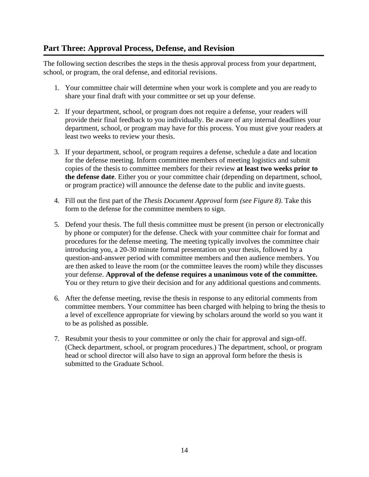#### <span id="page-16-0"></span>**Part Three: Approval Process, Defense, and Revision**

The following section describes the steps in the thesis approval process from your department, school, or program, the oral defense, and editorial revisions.

- 1. Your committee chair will determine when your work is complete and you are ready to share your final draft with your committee or set up your defense.
- 2. If your department, school, or program does not require a defense, your readers will provide their final feedback to you individually. Be aware of any internal deadlines your department, school, or program may have for this process. You must give your readers at least two weeks to review your thesis.
- 3. If your department, school, or program requires a defense, schedule a date and location for the defense meeting. Inform committee members of meeting logistics and submit copies of the thesis to committee members for their review **at least two weeks prior to the defense date**. Either you or your committee chair (depending on department, school, or program practice) will announce the defense date to the public and invite guests.
- 4. Fill out the first part of the *Thesis Document Approval* form *(see Figure 8)*. Take this form to the defense for the committee members to sign.
- 5. Defend your thesis. The full thesis committee must be present (in person or electronically by phone or computer) for the defense. Check with your committee chair for format and procedures for the defense meeting. The meeting typically involves the committee chair introducing you, a 20-30 minute formal presentation on your thesis, followed by a question-and-answer period with committee members and then audience members. You are then asked to leave the room (or the committee leaves the room) while they discusses your defense. **Approval of the defense requires a unanimous vote of the committee.**  You or they return to give their decision and for any additional questions and comments.
- 6. After the defense meeting, revise the thesis in response to any editorial comments from committee members. Your committee has been charged with helping to bring the thesis to a level of excellence appropriate for viewing by scholars around the world so you want it to be as polished as possible.
- 7. Resubmit your thesis to your committee or only the chair for approval and sign-off. (Check department, school, or program procedures.) The department, school, or program head or school director will also have to sign an approval form before the thesis is submitted to the Graduate School.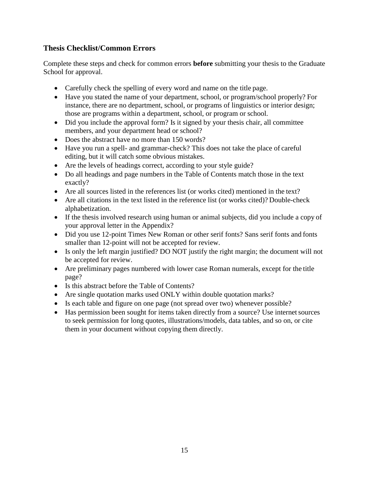#### <span id="page-17-0"></span>**Thesis Checklist/Common Errors**

Complete these steps and check for common errors **before** submitting your thesis to the Graduate School for approval.

- Carefully check the spelling of every word and name on the title page.
- Have you stated the name of your department, school, or program/school properly? For instance, there are no department, school, or programs of linguistics or interior design; those are programs within a department, school, or program or school.
- Did you include the approval form? Is it signed by your thesis chair, all committee members, and your department head or school?
- Does the abstract have no more than 150 words?
- Have you run a spell- and grammar-check? This does not take the place of careful editing, but it will catch some obvious mistakes.
- Are the levels of headings correct, according to your style guide?
- Do all headings and page numbers in the Table of Contents match those in the text exactly?
- Are all sources listed in the references list (or works cited) mentioned in the text?
- Are all citations in the text listed in the reference list (or works cited)? Double-check alphabetization.
- If the thesis involved research using human or animal subjects, did you include a copy of your approval letter in the Appendix?
- Did you use 12-point Times New Roman or other serif fonts? Sans serif fonts and fonts smaller than 12-point will not be accepted for review.
- Is only the left margin justified? DO NOT justify the right margin; the document will not be accepted for review.
- Are preliminary pages numbered with lower case Roman numerals, except for the title page?
- Is this abstract before the Table of Contents?
- Are single quotation marks used ONLY within double quotation marks?
- Is each table and figure on one page (not spread over two) whenever possible?
- Has permission been sought for items taken directly from a source? Use internet sources to seek permission for long quotes, illustrations/models, data tables, and so on, or cite them in your document without copying them directly.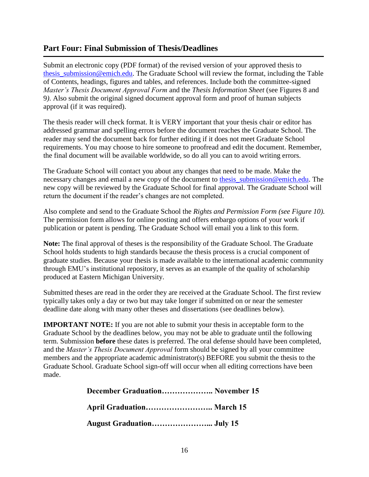#### <span id="page-18-0"></span>**Part Four: Final Submission of Thesis/Deadlines**

Submit an electronic copy (PDF format) of the revised version of your approved thesis to thesis submission@emich.edu. The Graduate School will review the format, including the Table of Contents, headings, figures and tables, and references. Include both the committee-signed *Master's Thesis Document Approval Form* and the *Thesis Information Sheet* (see Figures 8 and 9*)*. Also submit the original signed document approval form and proof of human subjects approval (if it was required).

The thesis reader will check format. It is VERY important that your thesis chair or editor has addressed grammar and spelling errors before the document reaches the Graduate School. The reader may send the document back for further editing if it does not meet Graduate School requirements. You may choose to hire someone to proofread and edit the document. Remember, the final document will be available worldwide, so do all you can to avoid writing errors.

The Graduate School will contact you about any changes that need to be made. Make the necessary changes and email a new copy of the document to thesis submission@emich.edu. The new copy will be reviewed by the Graduate School for final approval. The Graduate School will return the document if the reader's changes are not completed.

Also complete and send to the Graduate School the *Rights and Permission Form (see Figure 10).*  The permission form allows for online posting and offers embargo options of your work if publication or patent is pending. The Graduate School will email you a link to this form.

**Note:** The final approval of theses is the responsibility of the Graduate School. The Graduate School holds students to high standards because the thesis process is a crucial component of graduate studies. Because your thesis is made available to the international academic community through EMU's institutional repository, it serves as an example of the quality of scholarship produced at Eastern Michigan University.

Submitted theses are read in the order they are received at the Graduate School. The first review typically takes only a day or two but may take longer if submitted on or near the semester deadline date along with many other theses and dissertations (see deadlines below).

**IMPORTANT NOTE:** If you are not able to submit your thesis in acceptable form to the Graduate School by the deadlines below, you may not be able to graduate until the following term. Submission **before** these dates is preferred. The oral defense should have been completed, and the *Master's Thesis Document Approval* form should be signed by all your committee members and the appropriate academic administrator(s) BEFORE you submit the thesis to the Graduate School. Graduate School sign-off will occur when all editing corrections have been made.

> **December Graduation……………….. November 15 April Graduation…………………….. March 15 August Graduation…………………... July 15**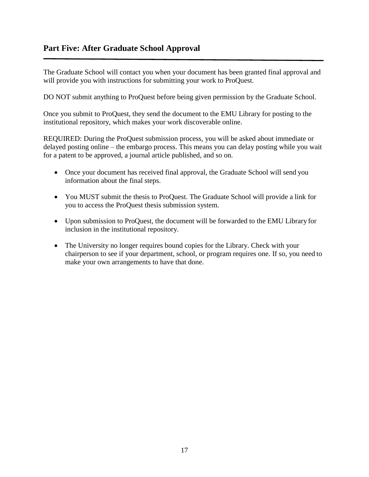<span id="page-19-0"></span>The Graduate School will contact you when your document has been granted final approval and will provide you with instructions for submitting your work to ProQuest.

DO NOT submit anything to ProQuest before being given permission by the Graduate School.

Once you submit to ProQuest, they send the document to the EMU Library for posting to the institutional repository, which makes your work discoverable online.

REQUIRED: During the ProQuest submission process, you will be asked about immediate or delayed posting online – the embargo process. This means you can delay posting while you wait for a patent to be approved, a journal article published, and so on.

- Once your document has received final approval, the Graduate School will send you information about the final steps.
- You MUST submit the thesis to ProQuest. The Graduate School will provide a link for you to access the ProQuest thesis submission system.
- Upon submission to ProQuest, the document will be forwarded to the EMU Library for inclusion in the institutional repository.
- The University no longer requires bound copies for the Library. Check with your chairperson to see if your department, school, or program requires one. If so, you need to make your own arrangements to have that done.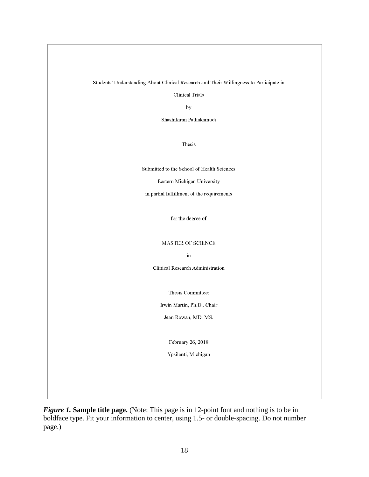Students' Understanding About Clinical Research and Their Willingness to Participate in

**Clinical Trials** 

by

Shashikiran Pathakamudi

Thesis

Submitted to the School of Health Sciences

Eastern Michigan University

in partial fulfillment of the requirements

for the degree of  $% \left\vert \cdot \right\rangle$ 

#### MASTER OF SCIENCE

 $\operatorname{in}$ 

Clinical Research Administration

Thesis Committee:

Irwin Martin, Ph.D., Chair

Jean Rowan, MD, MS.

February 26, 2018

Ypsilanti, Michigan

<span id="page-20-0"></span>*Figure 1.* Sample title page. (Note: This page is in 12-point font and nothing is to be in boldface type. Fit your information to center, using 1.5- or double-spacing. Do not number page.)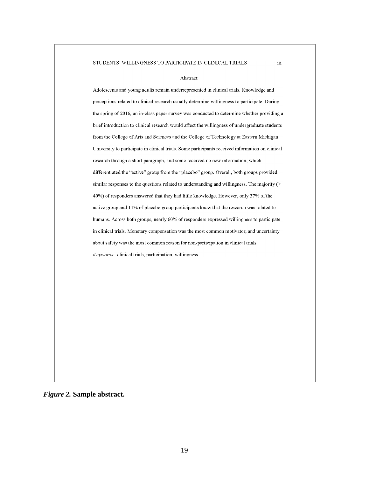#### STUDENTS' WILLINGNESS TO PARTICIPATE IN CLINICAL TRIALS

#### Abstract

iii.

Adolescents and young adults remain underrepresented in clinical trials. Knowledge and perceptions related to clinical research usually determine willingness to participate. During the spring of 2016, an in-class paper survey was conducted to determine whether providing a brief introduction to clinical research would affect the willingness of undergraduate students from the College of Arts and Sciences and the College of Technology at Eastern Michigan University to participate in clinical trials. Some participants received information on clinical research through a short paragraph, and some received no new information, which differentiated the "active" group from the "placebo" group. Overall, both groups provided similar responses to the questions related to understanding and willingness. The majority (> 40%) of responders answered that they had little knowledge. However, only 37% of the active group and 11% of placebo group participants knew that the research was related to humans. Across both groups, nearly 60% of responders expressed willingness to participate in clinical trials. Monetary compensation was the most common motivator, and uncertainty about safety was the most common reason for non-participation in clinical trials. Keywords: clinical trials, participation, willingness

<span id="page-21-0"></span>*Figure 2.* **Sample abstract.**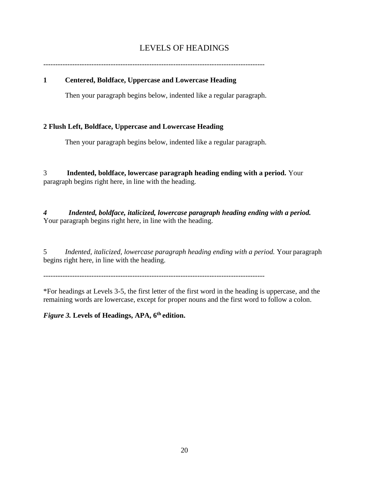## LEVELS OF HEADINGS

<span id="page-22-0"></span>

#### **1 Centered, Boldface, Uppercase and Lowercase Heading**

Then your paragraph begins below, indented like a regular paragraph.

#### **2 Flush Left, Boldface, Uppercase and Lowercase Heading**

Then your paragraph begins below, indented like a regular paragraph.

3 **Indented, boldface, lowercase paragraph heading ending with a period.** Your paragraph begins right here, in line with the heading.

*4 Indented, boldface, italicized, lowercase paragraph heading ending with a period.* Your paragraph begins right here, in line with the heading.

5 *Indented, italicized, lowercase paragraph heading ending with a period.* Your paragraph begins right here, in line with the heading.

--------------------------------------------------------------------------------------------

\*For headings at Levels 3-5, the first letter of the first word in the heading is uppercase, and the remaining words are lowercase, except for proper nouns and the first word to follow a colon.

*Figure 3.* **Levels of Headings, APA, 6th edition.**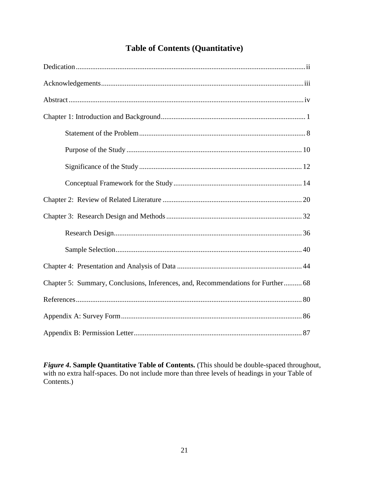# **Table of Contents (Quantitative)**

<span id="page-23-0"></span>

| Chapter 5: Summary, Conclusions, Inferences, and, Recommendations for Further 68 |
|----------------------------------------------------------------------------------|
|                                                                                  |
|                                                                                  |
|                                                                                  |

Figure 4. Sample Quantitative Table of Contents. (This should be double-spaced throughout, with no extra half-spaces. Do not include more than three levels of headings in your Table of Contents.)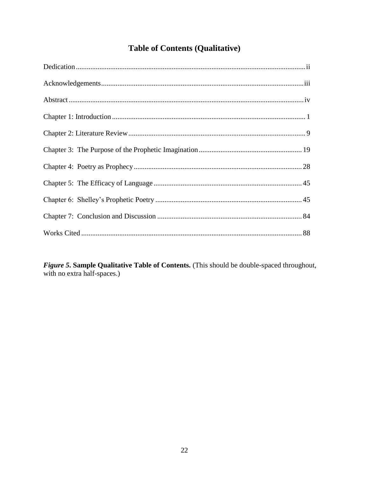# **Table of Contents (Qualitative)**

<span id="page-24-0"></span>

Figure 5. Sample Qualitative Table of Contents. (This should be double-spaced throughout, with no extra half-spaces.)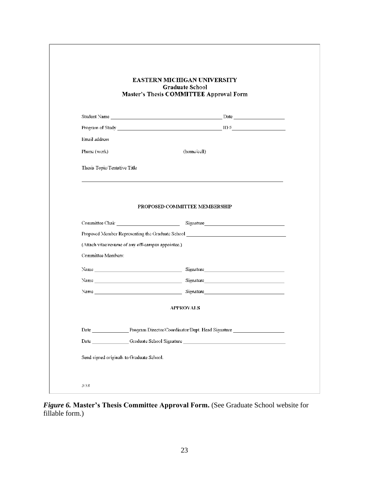|                              |                                                    | EASTERN MICHIGAN UNIVERSITY<br>Graduate School<br>Master's Thesis COMMITTEE Approval Form |  |
|------------------------------|----------------------------------------------------|-------------------------------------------------------------------------------------------|--|
|                              |                                                    |                                                                                           |  |
|                              |                                                    |                                                                                           |  |
|                              |                                                    |                                                                                           |  |
| Email address                |                                                    |                                                                                           |  |
| Phone (work)                 |                                                    | (home/cell)                                                                               |  |
| Thesis Topic/Tentative Title |                                                    |                                                                                           |  |
| Committee Members:           | (Attach vitae/resume of any off-campus appointee.) |                                                                                           |  |
|                              |                                                    | <b>APPROVALS</b>                                                                          |  |
|                              |                                                    | Date Program Director/Coordinator/Dept. Head Signature                                    |  |
|                              |                                                    |                                                                                           |  |
|                              |                                                    | Date Graduate School Signature 1996                                                       |  |

<span id="page-25-0"></span>*Figure 6.* **Master's Thesis Committee Approval Form.** (See Graduate School website for fillable form.)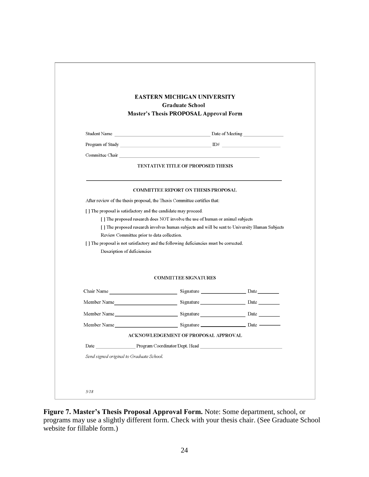|                                            | <b>EASTERN MICHIGAN UNIVERSITY</b><br>Graduate School<br><b>Master's Thesis PROPOSAL Approval Form</b> |  |
|--------------------------------------------|--------------------------------------------------------------------------------------------------------|--|
|                                            |                                                                                                        |  |
|                                            |                                                                                                        |  |
|                                            |                                                                                                        |  |
|                                            | <b>TENTATIVE TITLE OF PROPOSED THESIS</b>                                                              |  |
|                                            | <b>COMMITTEE REPORT ON THESIS PROPOSAL</b>                                                             |  |
|                                            | After review of the thesis proposal, the Thesis Committee certifies that:                              |  |
|                                            | [] The proposal is satisfactory and the candidate may proceed.                                         |  |
|                                            | [] The proposed research does NOT involve the use of human or animal subjects                          |  |
| Review Committee prior to data collection. | [ ] The proposed research involves human subjects and will be sent to University Human Subjects        |  |
|                                            | [] The proposal is not satisfactory and the following deficiencies must be corrected.                  |  |
| Description of deficiencies                |                                                                                                        |  |
|                                            | <b>COMMITTEE SIGNATURES</b>                                                                            |  |
|                                            |                                                                                                        |  |
|                                            | Member Name   Member 2011                                                                              |  |
|                                            | Member Name   Member 2011                                                                              |  |
|                                            |                                                                                                        |  |
|                                            | ACKNOWLEDGEMENT OF PROPOSAL APPROVAL                                                                   |  |
|                                            |                                                                                                        |  |
| Date Program Coordinator/Dept. Head        |                                                                                                        |  |

<span id="page-26-0"></span>**Figure 7. Master's Thesis Proposal Approval Form.** Note: Some department, school, or programs may use a slightly different form. Check with your thesis chair. (See Graduate School website for fillable form.)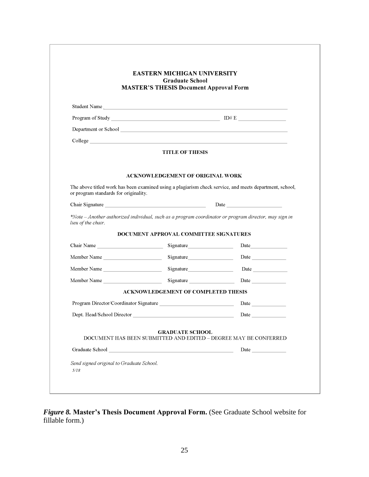|                                                                                                                                                                                                                                    | <b>EASTERN MICHIGAN UNIVERSITY</b><br><b>Graduate School</b><br><b>MASTER'S THESIS Document Approval Form</b>                                                                                                                 |                                                                                                                                                                                                                               |
|------------------------------------------------------------------------------------------------------------------------------------------------------------------------------------------------------------------------------------|-------------------------------------------------------------------------------------------------------------------------------------------------------------------------------------------------------------------------------|-------------------------------------------------------------------------------------------------------------------------------------------------------------------------------------------------------------------------------|
| Student Name                                                                                                                                                                                                                       |                                                                                                                                                                                                                               |                                                                                                                                                                                                                               |
|                                                                                                                                                                                                                                    |                                                                                                                                                                                                                               |                                                                                                                                                                                                                               |
| Department or School New York Changes and School New York Changes and School New York Changes and School New York Changes and School New York Changes and School New York Changes and School New York Changes and School New Y     |                                                                                                                                                                                                                               |                                                                                                                                                                                                                               |
| College <u>and</u> the college and the college and the college and the college and the college and the college and the college and the college and the college and the college and the college and the college and the college and |                                                                                                                                                                                                                               |                                                                                                                                                                                                                               |
|                                                                                                                                                                                                                                    | <b>TITLE OF THESIS</b>                                                                                                                                                                                                        |                                                                                                                                                                                                                               |
|                                                                                                                                                                                                                                    | <b>ACKNOWLEDGEMENT OF ORIGINAL WORK</b>                                                                                                                                                                                       |                                                                                                                                                                                                                               |
| or program standards for originality.                                                                                                                                                                                              |                                                                                                                                                                                                                               | The above titled work has been examined using a plagiarism check service, and meets department, school,                                                                                                                       |
| Chair Signature                                                                                                                                                                                                                    |                                                                                                                                                                                                                               | Date and the same state of the state of the state of the state of the state of the state of the state of the state of the state of the state of the state of the state of the state of the state of the state of the state of |
| lieu of the chair.                                                                                                                                                                                                                 |                                                                                                                                                                                                                               | *Note - Another authorized individual, such as a program coordinator or program director, may sign in                                                                                                                         |
|                                                                                                                                                                                                                                    | DOCUMENT APPROVAL COMMITTEE SIGNATURES                                                                                                                                                                                        |                                                                                                                                                                                                                               |
| Chair Name                                                                                                                                                                                                                         |                                                                                                                                                                                                                               | Date                                                                                                                                                                                                                          |
| Member Name                                                                                                                                                                                                                        |                                                                                                                                                                                                                               |                                                                                                                                                                                                                               |
| Member Name                                                                                                                                                                                                                        |                                                                                                                                                                                                                               | Date $\qquad$                                                                                                                                                                                                                 |
|                                                                                                                                                                                                                                    |                                                                                                                                                                                                                               | Date                                                                                                                                                                                                                          |
| Member Name                                                                                                                                                                                                                        | Signature and the state of the state of the state of the state of the state of the state of the state of the state of the state of the state of the state of the state of the state of the state of the state of the state of |                                                                                                                                                                                                                               |
|                                                                                                                                                                                                                                    | <b>ACKNOWLEDGEMENT OF COMPLETED THESIS</b>                                                                                                                                                                                    |                                                                                                                                                                                                                               |
|                                                                                                                                                                                                                                    |                                                                                                                                                                                                                               | Date                                                                                                                                                                                                                          |
| Dept. Head/School Director                                                                                                                                                                                                         |                                                                                                                                                                                                                               | Date                                                                                                                                                                                                                          |
|                                                                                                                                                                                                                                    | <b>GRADUATE SCHOOL</b>                                                                                                                                                                                                        | DOCUMENT HAS BEEN SUBMITTED AND EDITED - DEGREE MAY BE CONFERRED                                                                                                                                                              |
|                                                                                                                                                                                                                                    |                                                                                                                                                                                                                               |                                                                                                                                                                                                                               |

<span id="page-27-0"></span>*Figure 8.* **Master's Thesis Document Approval Form.** (See Graduate School website for fillable form.)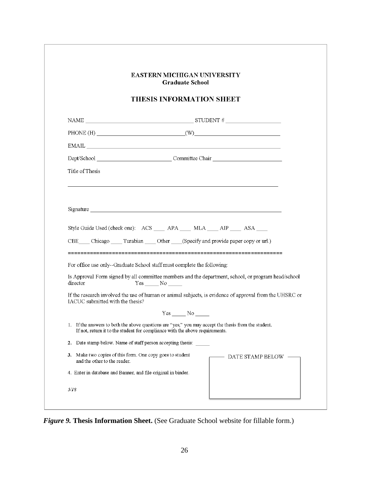|                                                                  | <b>EASTERN MICHIGAN UNIVERSITY</b><br><b>Graduate School</b>                                                                                                                                                                                                                                                                                                                                                                                                                                |
|------------------------------------------------------------------|---------------------------------------------------------------------------------------------------------------------------------------------------------------------------------------------------------------------------------------------------------------------------------------------------------------------------------------------------------------------------------------------------------------------------------------------------------------------------------------------|
|                                                                  | <b>THESIS INFORMATION SHEET</b>                                                                                                                                                                                                                                                                                                                                                                                                                                                             |
|                                                                  | NAME $\_\_\_\_\_\_$ STUDENT #                                                                                                                                                                                                                                                                                                                                                                                                                                                               |
|                                                                  | PHONE (H) $(W)$                                                                                                                                                                                                                                                                                                                                                                                                                                                                             |
|                                                                  | $EMAIL \begin{tabular}{@{}c@{}} \hline \multicolumn{3}{c}{} & \multicolumn{3}{c}{} & \multicolumn{3}{c}{} & \multicolumn{3}{c}{} \\ \hline \multicolumn{3}{c}{} & \multicolumn{3}{c}{} & \multicolumn{3}{c}{} & \multicolumn{3}{c}{} \\ \hline \multicolumn{3}{c}{} & \multicolumn{3}{c}{} & \multicolumn{3}{c}{} & \multicolumn{3}{c}{} \\ \hline \multicolumn{3}{c}{} & \multicolumn{3}{c}{} & \multicolumn{3}{c}{} & \multicolumn{3}{c}{} \\ \hline \multicolumn{3}{c}{} & \multicolumn$ |
|                                                                  |                                                                                                                                                                                                                                                                                                                                                                                                                                                                                             |
| Title of Thesis                                                  |                                                                                                                                                                                                                                                                                                                                                                                                                                                                                             |
|                                                                  |                                                                                                                                                                                                                                                                                                                                                                                                                                                                                             |
|                                                                  |                                                                                                                                                                                                                                                                                                                                                                                                                                                                                             |
|                                                                  | Style Guide Used (check one): ACS _____ APA _____ MLA ____ AIP ____ ASA ____<br>CBE Chicago Turabian Other (Specify and provide paper copy or url.)<br>For office use only--Graduate School staff must complete the following:                                                                                                                                                                                                                                                              |
| director                                                         | Is Approval Form signed by all committee members and the department, school, or program head/school<br>$Yes \_ No \_$                                                                                                                                                                                                                                                                                                                                                                       |
|                                                                  | If the research involved the use of human or animal subjects, is evidence of approval from the UHSRC or                                                                                                                                                                                                                                                                                                                                                                                     |
|                                                                  | $Yes \_\_No \_\$                                                                                                                                                                                                                                                                                                                                                                                                                                                                            |
|                                                                  | 1. If the answers to both the above questions are "yes," you may accept the thesis from the student.<br>If not, return it to the student for compliance with the above requirements.                                                                                                                                                                                                                                                                                                        |
|                                                                  | 2. Date stamp below. Name of staff person accepting thesis:                                                                                                                                                                                                                                                                                                                                                                                                                                 |
| IACUC submitted with the thesis?<br>and the other to the reader. | 3. Make two copies of this form. One copy goes to student<br>DATE STAMP BELOW                                                                                                                                                                                                                                                                                                                                                                                                               |

*Figure 9.* **Thesis Information Sheet.** (See Graduate School website for fillable form.)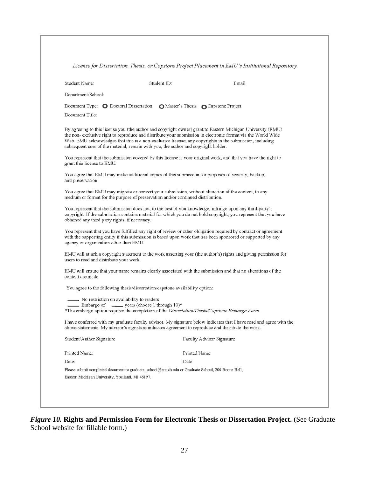| License for Dissertation, Thesis, or Capstone Project Placement in EMU's Institutional Repository |  |  |  |  |  |
|---------------------------------------------------------------------------------------------------|--|--|--|--|--|
|---------------------------------------------------------------------------------------------------|--|--|--|--|--|

| Student Name:                                  | Student ID:                                                                                                                                                                                   | Email:                                                                                                                                                                                                                     |
|------------------------------------------------|-----------------------------------------------------------------------------------------------------------------------------------------------------------------------------------------------|----------------------------------------------------------------------------------------------------------------------------------------------------------------------------------------------------------------------------|
| Department/School:                             |                                                                                                                                                                                               |                                                                                                                                                                                                                            |
| Document Type: $\bullet$ Doctoral Dissertation |                                                                                                                                                                                               | O Master's Thesis O Capstone Project                                                                                                                                                                                       |
| Document Title:                                |                                                                                                                                                                                               |                                                                                                                                                                                                                            |
|                                                | Web. EMU acknowledges that this is a non-exclusive license; any copyrights in the submission, including<br>subsequent uses of the material, remain with you, the author and copyright holder. | By agreeing to this license you (the author and copyright owner) grant to Eastern Michigan University (EMU)<br>the non-exclusive right to reproduce and distribute your submission in electronic format via the World Wide |
| grant this license to EMU.                     |                                                                                                                                                                                               | You represent that the submission covered by this license is your original work, and that you have the right to                                                                                                            |
| and preservation.                              | You agree that EMU may make additional copies of this submission for purposes of security, backup,                                                                                            |                                                                                                                                                                                                                            |
|                                                | You agree that EMU may migrate or convert your submission, without alteration of the content, to any<br>medium or format for the purpose of preservation and/or continued distribution.       |                                                                                                                                                                                                                            |
| obtained any third party rights, if necessary. | You represent that the submission does not, to the best of you knowledge, infringe upon any third-party's                                                                                     | copyright. If the submission contains material for which you do not hold copyright, you represent that you have                                                                                                            |
| agency or organization other than EMU.         | with the supporting entity if this submission is based upon work that has been sponsored or supported by any                                                                                  | You represent that you have fulfilled any right of review or other obligation required by contract or agreement                                                                                                            |
| users to read and distribute your work.        |                                                                                                                                                                                               | EMU will attach a copyright statement to the work asserting your (the author's) rights and giving permission for                                                                                                           |
| content are made.                              |                                                                                                                                                                                               | EMU will ensure that your name remains clearly associated with the submission and that no alterations of the                                                                                                               |
|                                                | You agree to the following thesis/dissertation/capstone availability option:                                                                                                                  |                                                                                                                                                                                                                            |
| No restriction on availability to readers      | Embargo of _______ years (choose 1 through 10)*<br>*The embargo option requires the completion of the Dissertation/Thesis/Capstone Embargo Form.                                              |                                                                                                                                                                                                                            |
|                                                | above statements. My advisor's signature indicates agreement to reproduce and distribute the work.                                                                                            | I have conferred with my graduate faculty advisor. My signature below indicates that I have read and agree with the                                                                                                        |
| Student/Author Signature                       |                                                                                                                                                                                               | Faculty Advisor Signature                                                                                                                                                                                                  |
| Printed Name:                                  | Printed Name:                                                                                                                                                                                 |                                                                                                                                                                                                                            |
| Date:                                          | Date:                                                                                                                                                                                         |                                                                                                                                                                                                                            |
|                                                |                                                                                                                                                                                               |                                                                                                                                                                                                                            |
|                                                | Please submit completed document to graduate_school@emich.edu or Graduate School, 200 Boone Hall,                                                                                             |                                                                                                                                                                                                                            |

<span id="page-29-0"></span>*Figure 10.* **Rights and Permission Form for Electronic Thesis or Dissertation Project.** (See Graduate School website for fillable form.)